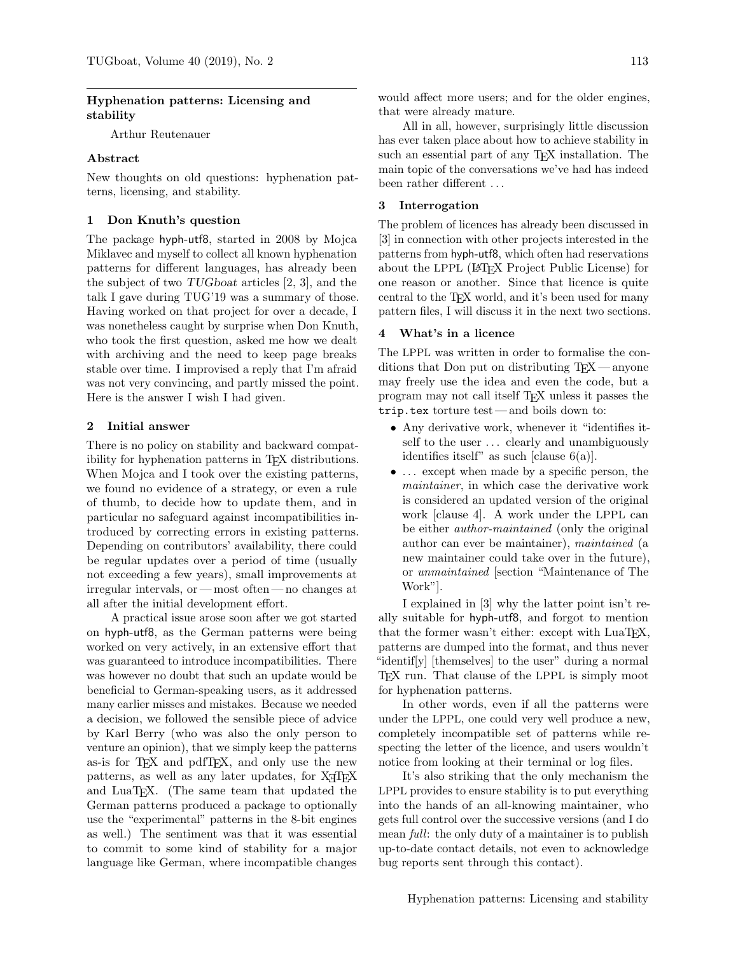# Hyphenation patterns: Licensing and stability

Arthur Reutenauer

# Abstract

New thoughts on old questions: hyphenation patterns, licensing, and stability.

# 1 Don Knuth's question

The package hyph-utf8, started in 2008 by Mojca Miklavec and myself to collect all known hyphenation patterns for different languages, has already been the subject of two TUGboat articles [\[2,](#page-1-0) [3\]](#page-1-1), and the talk I gave during TUG'19 was a summary of those. Having worked on that project for over a decade, I was nonetheless caught by surprise when Don Knuth, who took the first question, asked me how we dealt with archiving and the need to keep page breaks stable over time. I improvised a reply that I'm afraid was not very convincing, and partly missed the point. Here is the answer I wish I had given.

### 2 Initial answer

There is no policy on stability and backward compatibility for hyphenation patterns in T<sub>E</sub>X distributions. When Mojca and I took over the existing patterns, we found no evidence of a strategy, or even a rule of thumb, to decide how to update them, and in particular no safeguard against incompatibilities introduced by correcting errors in existing patterns. Depending on contributors' availability, there could be regular updates over a period of time (usually not exceeding a few years), small improvements at irregular intervals, or— most often— no changes at all after the initial development effort.

A practical issue arose soon after we got started on hyph-utf8, as the German patterns were being worked on very actively, in an extensive effort that was guaranteed to introduce incompatibilities. There was however no doubt that such an update would be beneficial to German-speaking users, as it addressed many earlier misses and mistakes. Because we needed a decision, we followed the sensible piece of advice by Karl Berry (who was also the only person to venture an opinion), that we simply keep the patterns as-is for TEX and pdfTEX, and only use the new patterns, as well as any later updates, for XTIFX and LuaTEX. (The same team that updated the German patterns produced a package to optionally use the "experimental" patterns in the 8-bit engines as well.) The sentiment was that it was essential to commit to some kind of stability for a major language like German, where incompatible changes

would affect more users; and for the older engines, that were already mature.

All in all, however, surprisingly little discussion has ever taken place about how to achieve stability in such an essential part of any TEX installation. The main topic of the conversations we've had has indeed been rather different ...

### 3 Interrogation

The problem of licences has already been discussed in [\[3\]](#page-1-1) in connection with other projects interested in the patterns from hyph-utf8, which often had reservations about the LPPL (LATEX Project Public License) for one reason or another. Since that licence is quite central to the TEX world, and it's been used for many pattern files, I will discuss it in the next two sections.

#### 4 What's in a licence

The LPPL was written in order to formalise the conditions that Don put on distributing TEX — anyone may freely use the idea and even the code, but a program may not call itself TEX unless it passes the trip.tex torture test — and boils down to:

- Any derivative work, whenever it "identifies itself to the user  $\dots$  clearly and unambiguously identifies itself" as such [clause 6(a)].
- ... except when made by a specific person, the maintainer, in which case the derivative work is considered an updated version of the original work [clause 4]. A work under the LPPL can be either author-maintained (only the original author can ever be maintainer), maintained (a new maintainer could take over in the future), or unmaintained [section "Maintenance of The Work"].

I explained in [\[3\]](#page-1-1) why the latter point isn't really suitable for hyph-utf8, and forgot to mention that the former wasn't either: except with LuaT<sub>EX</sub>, patterns are dumped into the format, and thus never "identif[y] [themselves] to the user" during a normal TEX run. That clause of the LPPL is simply moot for hyphenation patterns.

In other words, even if all the patterns were under the LPPL, one could very well produce a new, completely incompatible set of patterns while respecting the letter of the licence, and users wouldn't notice from looking at their terminal or log files.

It's also striking that the only mechanism the LPPL provides to ensure stability is to put everything into the hands of an all-knowing maintainer, who gets full control over the successive versions (and I do mean full: the only duty of a maintainer is to publish up-to-date contact details, not even to acknowledge bug reports sent through this contact).